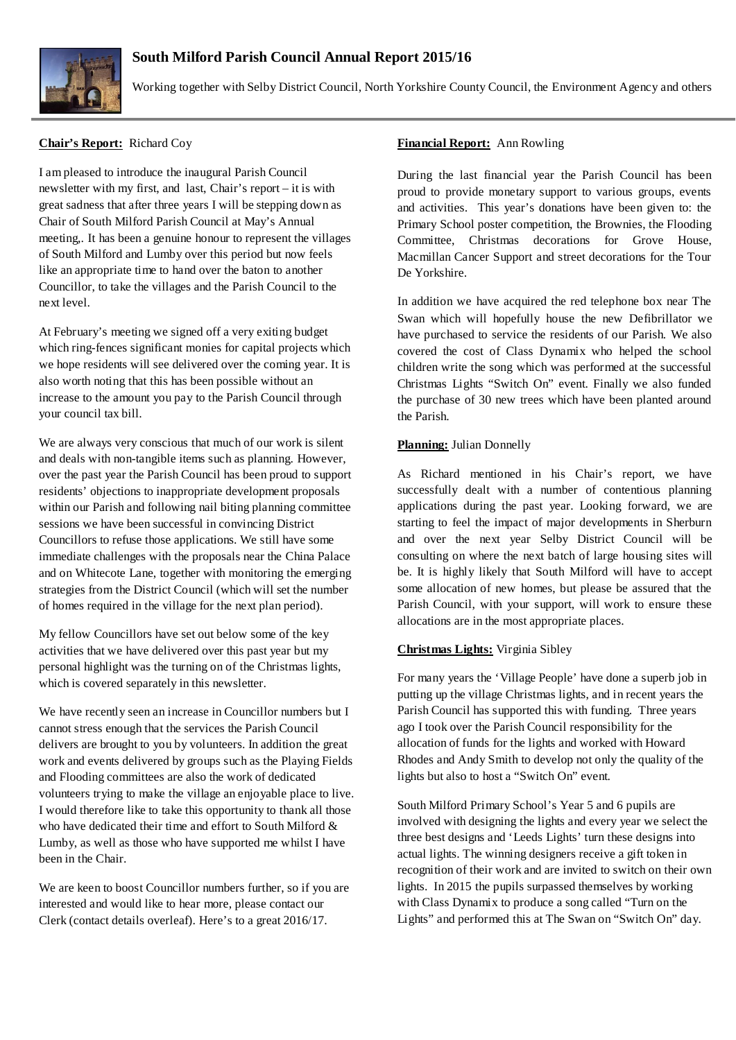# **South Milford Parish Council Annual Report 2015/16**



Working together with Selby District Council, North Yorkshire County Council, the Environment Agency and others

# **Chair's Report:** Richard Coy

I am pleased to introduce the inaugural Parish Council newsletter with my first, and last, Chair's report – it is with great sadness that after three years I will be stepping down as Chair of South Milford Parish Council at May's Annual meeting,. It has been a genuine honour to represent the villages of South Milford and Lumby over this period but now feels like an appropriate time to hand over the baton to another Councillor, to take the villages and the Parish Council to the next level.

At February's meeting we signed off a very exiting budget which ring-fences significant monies for capital projects which we hope residents will see delivered over the coming year. It is also worth noting that this has been possible without an increase to the amount you pay to the Parish Council through your council tax bill.

We are always very conscious that much of our work is silent and deals with non-tangible items such as planning. However, over the past year the Parish Council has been proud to support residents' objections to inappropriate development proposals within our Parish and following nail biting planning committee sessions we have been successful in convincing District Councillors to refuse those applications. We still have some immediate challenges with the proposals near the China Palace and on Whitecote Lane, together with monitoring the emerging strategies from the District Council (which will set the number of homes required in the village for the next plan period).

My fellow Councillors have set out below some of the key activities that we have delivered over this past year but my personal highlight was the turning on of the Christmas lights, which is covered separately in this newsletter.

We have recently seen an increase in Councillor numbers but I cannot stress enough that the services the Parish Council delivers are brought to you by volunteers. In addition the great work and events delivered by groups such as the Playing Fields and Flooding committees are also the work of dedicated volunteers trying to make the village an enjoyable place to live. I would therefore like to take this opportunity to thank all those who have dedicated their time and effort to South Milford & Lumby, as well as those who have supported me whilst I have been in the Chair.

We are keen to boost Councillor numbers further, so if you are interested and would like to hear more, please contact our Clerk (contact details overleaf). Here's to a great 2016/17.

## **Financial Report:** Ann Rowling

During the last financial year the Parish Council has been proud to provide monetary support to various groups, events and activities. This year's donations have been given to: the Primary School poster competition, the Brownies, the Flooding Committee, Christmas decorations for Grove House, Macmillan Cancer Support and street decorations for the Tour De Yorkshire.

In addition we have acquired the red telephone box near The Swan which will hopefully house the new Defibrillator we have purchased to service the residents of our Parish. We also covered the cost of Class Dynamix who helped the school children write the song which was performed at the successful Christmas Lights "Switch On" event. Finally we also funded the purchase of 30 new trees which have been planted around the Parish.

### **Planning:** Julian Donnelly

As Richard mentioned in his Chair's report, we have successfully dealt with a number of contentious planning applications during the past year. Looking forward, we are starting to feel the impact of major developments in Sherburn and over the next year Selby District Council will be consulting on where the next batch of large housing sites will be. It is highly likely that South Milford will have to accept some allocation of new homes, but please be assured that the Parish Council, with your support, will work to ensure these allocations are in the most appropriate places.

### **Christmas Lights:** Virginia Sibley

For many years the 'Village People' have done a superb job in putting up the village Christmas lights, and in recent years the Parish Council has supported this with funding. Three years ago I took over the Parish Council responsibility for the allocation of funds for the lights and worked with Howard Rhodes and Andy Smith to develop not only the quality of the lights but also to host a "Switch On" event.

South Milford Primary School's Year 5 and 6 pupils are involved with designing the lights and every year we select the three best designs and 'Leeds Lights' turn these designs into actual lights. The winning designers receive a gift token in recognition of their work and are invited to switch on their own lights. In 2015 the pupils surpassed themselves by working with Class Dynamix to produce a song called "Turn on the Lights" and performed this at The Swan on "Switch On" day.